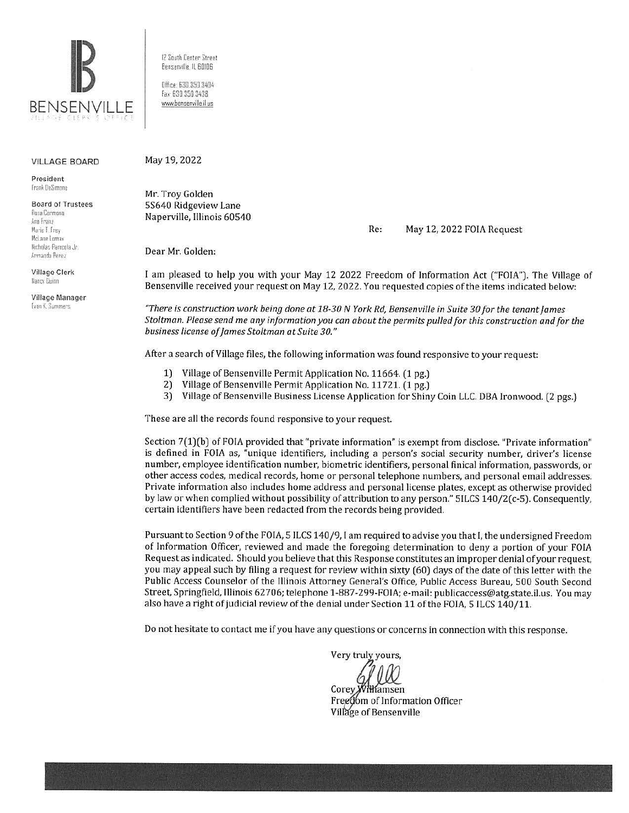

#### VILLAGE BOARD

President Frank DeSimane

Board of Trustees Rosa Carmona Ann Franz Marie I. Frey Mclane Loma, Nicholas Panicola Jr.

Village Clerk Nancy Duinn

Armando Penez

Village Manager Evan K. Summers

12 South Center Street Bensenville IL 80106 Office 630.350.3404 Fax: 630 350 3438

www.bensenville.il.us

May 19, 2022

**Mr.** Troy Golden 5S640 Ridgeview Lane Naperville, lllinois 60540

Re: May 12, 2022 FOIA Request

Dear Mr. Golden:

I am pleased to help you with your May 12 2022 Freedom of Information Act ("FOIA"). The Village of Bensenville received your request on May 12, 2022. You requested copies of the items indicated below:

*"There is construction work being done at 18-30 N York Rd, Bensenville in Suite 30 for the tenant James Stoltman. Please send me any information you can about the permits pulled for this construction and for the business license ofjames Stoltman at Suite 30."* 

After a search of Village files, the following information was found responsive to your request:

- 1) Village of Bensenville Permit Application No. 11664. (1 pg.)
- 2) Village of Bensenville Permit Application No. 11721. (1 pg.)
- 3) Village of Bensenville Business License Application for Shiny Coin LLC. OBA Ironwood. (2 pgs.)

These are all the records found responsive to your request.

Section 7(1)(b) of FOIA provided that "private information" is exempt from disclose. "Private information" is defined in FOIA as, "unique identifiers, including a person's social security number, driver's license number, employee identification number, biometric identifiers, personal finical information, passwords, or other access codes, medical records, home or personal telephone numbers, and personal email addresses. Private information also includes home address and personal license plates, except as otherwise provided by law or when complied without possibility of attribution to any person." 5ILCS 140/2(c-5). Consequently, certain identifiers have been redacted from the records being provided.

Pursuant to Section 9 of the FOIA, 5 ILCS 140/9, I am required to advise you that I, the undersigned Freedom of Information Officer, reviewed and made the foregoing determination to deny a portion of your FOIA Request as indicated. Should you believe that this Response constitutes an improper denial of your request, you may appeal such by filing a request for review within sixty (60) days of the date of this letter with the Public Access Counselor of the Illinois Attorney General's Office, Public Access Bureau, 500 South Second Street, Springfield, Illinois 62706; telephone 1-887-299-FOIA; e-mail: publicaccess@atg.state.il.us. You may also have a right of judicial review of the denial under Section 11 of the FOIA, 5 ILCS 140/11.

Do not hesitate to contact me if you have any questions or concerns in connection with this response.

Very truly yours,

Corey Williamsen

Free om of Information Officer Village of Bensenville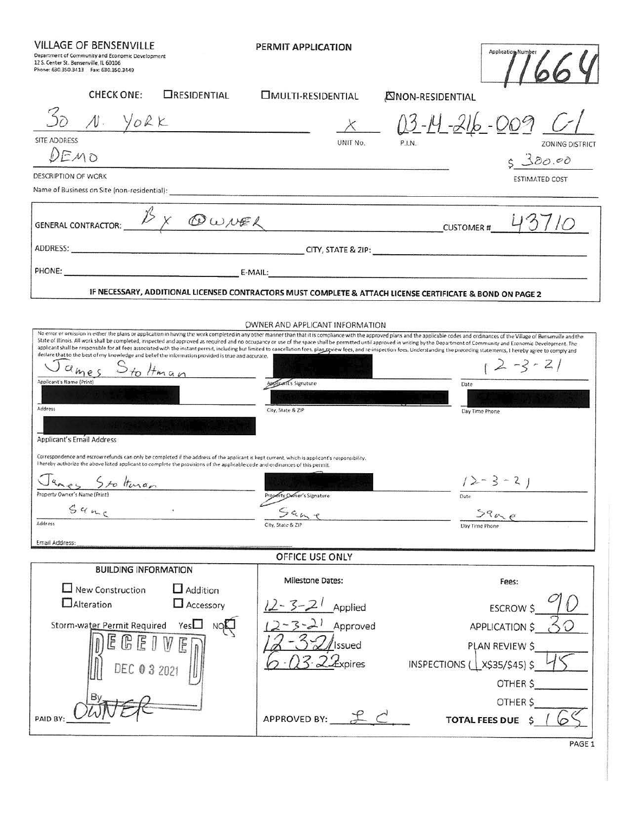VILLAGE OF BENSENVILLE

PERMIT APPLICATION

Î.

| Department of Community and Economic Development<br>12 S. Center St. Bensenville, IL 60106<br>Phone: 630.350.3413  Fax: 630.350.3449                                                                                                                                                                                                                                     |                                                                                                                                                                                                                                | Application Number                                                                                                                                                                                                                                                                                                                                                                                                                                                                                                                                                                                                                                                                                                                                            |
|--------------------------------------------------------------------------------------------------------------------------------------------------------------------------------------------------------------------------------------------------------------------------------------------------------------------------------------------------------------------------|--------------------------------------------------------------------------------------------------------------------------------------------------------------------------------------------------------------------------------|---------------------------------------------------------------------------------------------------------------------------------------------------------------------------------------------------------------------------------------------------------------------------------------------------------------------------------------------------------------------------------------------------------------------------------------------------------------------------------------------------------------------------------------------------------------------------------------------------------------------------------------------------------------------------------------------------------------------------------------------------------------|
| <b>CHECK ONE:</b><br><b>CRESIDENTIAL</b>                                                                                                                                                                                                                                                                                                                                 | <b>IMULTI-RESIDENTIAL</b>                                                                                                                                                                                                      | <b>EINON-RESIDENTIAL</b>                                                                                                                                                                                                                                                                                                                                                                                                                                                                                                                                                                                                                                                                                                                                      |
| $N.$ YORK                                                                                                                                                                                                                                                                                                                                                                |                                                                                                                                                                                                                                | $03 - 14 - 216 - 009$                                                                                                                                                                                                                                                                                                                                                                                                                                                                                                                                                                                                                                                                                                                                         |
| <b>SITE ADDRESS</b>                                                                                                                                                                                                                                                                                                                                                      | UNIT No.                                                                                                                                                                                                                       | P.I.N.<br><b>ZONING DISTRICT</b>                                                                                                                                                                                                                                                                                                                                                                                                                                                                                                                                                                                                                                                                                                                              |
| DEMO                                                                                                                                                                                                                                                                                                                                                                     |                                                                                                                                                                                                                                | 5380.00                                                                                                                                                                                                                                                                                                                                                                                                                                                                                                                                                                                                                                                                                                                                                       |
| <b>DESCRIPTION OF WORK</b><br>Name of Business on Site (non-residential):                                                                                                                                                                                                                                                                                                |                                                                                                                                                                                                                                | <b>ESTIMATED COST</b>                                                                                                                                                                                                                                                                                                                                                                                                                                                                                                                                                                                                                                                                                                                                         |
| <b>GENERAL CONTRACTOR:</b>                                                                                                                                                                                                                                                                                                                                               | $D_X$ OWNER                                                                                                                                                                                                                    | CUSTOMER # 4                                                                                                                                                                                                                                                                                                                                                                                                                                                                                                                                                                                                                                                                                                                                                  |
|                                                                                                                                                                                                                                                                                                                                                                          |                                                                                                                                                                                                                                |                                                                                                                                                                                                                                                                                                                                                                                                                                                                                                                                                                                                                                                                                                                                                               |
|                                                                                                                                                                                                                                                                                                                                                                          | PHONE: E-MAIL: E-MAIL: E-MAIL:                                                                                                                                                                                                 |                                                                                                                                                                                                                                                                                                                                                                                                                                                                                                                                                                                                                                                                                                                                                               |
|                                                                                                                                                                                                                                                                                                                                                                          | IF NECESSARY, ADDITIONAL LICENSED CONTRACTORS MUST COMPLETE & ATTACH LICENSE CERTIFICATE & BOND ON PAGE 2                                                                                                                      |                                                                                                                                                                                                                                                                                                                                                                                                                                                                                                                                                                                                                                                                                                                                                               |
|                                                                                                                                                                                                                                                                                                                                                                          |                                                                                                                                                                                                                                |                                                                                                                                                                                                                                                                                                                                                                                                                                                                                                                                                                                                                                                                                                                                                               |
| declare that to the best of my knowledge and belief the information provided is true and accurate.<br>ame<br>to Hman<br>Applicant's Name (Print)<br>Address<br>Applicant's Email Address<br>I hereby authorize the above listed applicant to complete the provisions of the applicable code and ordinances of this permit.<br>Sto Huran<br>Property Owner's Name (Print) | OWNER AND APPLICANT INFORMATION<br>Applicant's Signature<br>City, State & ZIP<br>Correspondence and escrow refunds can only be completed if the address of the applicant is kept current, which is applicant's responsibility. | No error or omission in either the plans or application in having the work completed in any other manner than that it is compliance with the approved plans and the applicable codes and ordinances of the Village of Bensenvi<br>State of Illinois. All work shall be completed, inspected and approved as required and no occupancy or use of the space shall be permitted until approved in writing by the Department of Community and Economic Development.<br>applicant shall be responsible for all fees associated with the instant permit, including but limited to cancellation fees, plan review fees, and re-inspection fees. Understanding the preceding statements, I hereby agree t<br>$12 - 3 - 21$<br>Date<br>Day Time Phone<br>$12 - 3 - 21$ |
| 34nc                                                                                                                                                                                                                                                                                                                                                                     | Property Owner's Signature<br>$\epsilon$                                                                                                                                                                                       | Date                                                                                                                                                                                                                                                                                                                                                                                                                                                                                                                                                                                                                                                                                                                                                          |
| Address                                                                                                                                                                                                                                                                                                                                                                  | 79478<br>City, State & ZIP                                                                                                                                                                                                     | $29 - e$<br>Day Time Phone                                                                                                                                                                                                                                                                                                                                                                                                                                                                                                                                                                                                                                                                                                                                    |
| Email Address:                                                                                                                                                                                                                                                                                                                                                           |                                                                                                                                                                                                                                |                                                                                                                                                                                                                                                                                                                                                                                                                                                                                                                                                                                                                                                                                                                                                               |
|                                                                                                                                                                                                                                                                                                                                                                          | OFFICE USE ONLY                                                                                                                                                                                                                |                                                                                                                                                                                                                                                                                                                                                                                                                                                                                                                                                                                                                                                                                                                                                               |
| <b>BUILDING INFORMATION</b>                                                                                                                                                                                                                                                                                                                                              | Milestone Dates:                                                                                                                                                                                                               | Fees:                                                                                                                                                                                                                                                                                                                                                                                                                                                                                                                                                                                                                                                                                                                                                         |
| $\Box$ New Construction<br>$\Box$ Addition                                                                                                                                                                                                                                                                                                                               |                                                                                                                                                                                                                                |                                                                                                                                                                                                                                                                                                                                                                                                                                                                                                                                                                                                                                                                                                                                                               |
| $\Box$ Alteration                                                                                                                                                                                                                                                                                                                                                        | Accessory<br>$12 - 3 - 21$<br>Applied                                                                                                                                                                                          | <b>ESCROW \$</b>                                                                                                                                                                                                                                                                                                                                                                                                                                                                                                                                                                                                                                                                                                                                              |
| Storm-water Permit Required                                                                                                                                                                                                                                                                                                                                              | Approved                                                                                                                                                                                                                       | APPLICATION \$                                                                                                                                                                                                                                                                                                                                                                                                                                                                                                                                                                                                                                                                                                                                                |
| $\mathbb{F}$                                                                                                                                                                                                                                                                                                                                                             | <b>Issued</b>                                                                                                                                                                                                                  | PLAN REVIEW \$                                                                                                                                                                                                                                                                                                                                                                                                                                                                                                                                                                                                                                                                                                                                                |
|                                                                                                                                                                                                                                                                                                                                                                          | Expires                                                                                                                                                                                                                        | INSPECTIONS (1x\$35/\$45) \$                                                                                                                                                                                                                                                                                                                                                                                                                                                                                                                                                                                                                                                                                                                                  |
|                                                                                                                                                                                                                                                                                                                                                                          |                                                                                                                                                                                                                                | OTHER \$                                                                                                                                                                                                                                                                                                                                                                                                                                                                                                                                                                                                                                                                                                                                                      |
| PAID BY:                                                                                                                                                                                                                                                                                                                                                                 | APPROVED BY: EC                                                                                                                                                                                                                | OTHER \$<br><b>TOTAL FEES DUE \$</b>                                                                                                                                                                                                                                                                                                                                                                                                                                                                                                                                                                                                                                                                                                                          |
|                                                                                                                                                                                                                                                                                                                                                                          |                                                                                                                                                                                                                                | PAGE                                                                                                                                                                                                                                                                                                                                                                                                                                                                                                                                                                                                                                                                                                                                                          |

PAGE<sub>1</sub>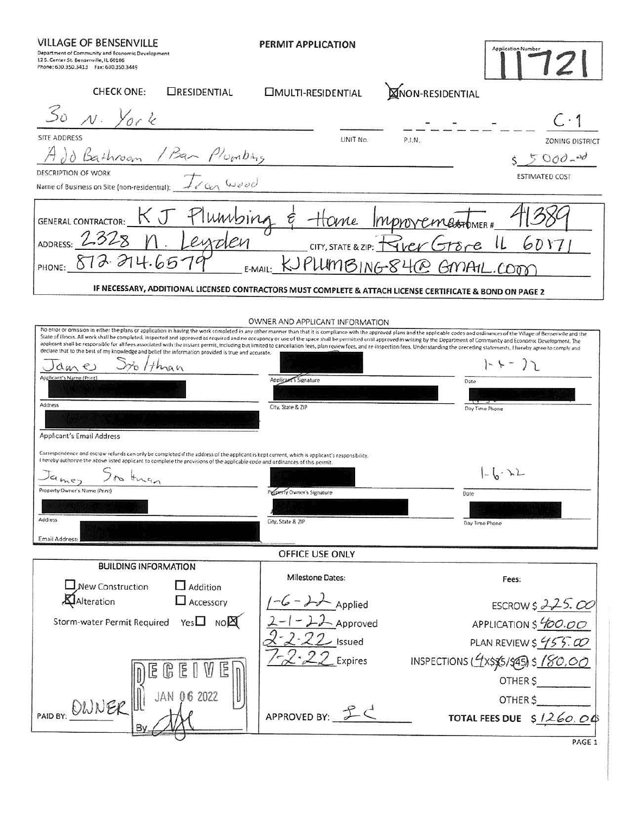**VILLAGE OF BENSENVILLE** 

PERMIT APPLICATION

|                                        | Department of Community and Economic Developmen |
|----------------------------------------|-------------------------------------------------|
| 12 S. Center St. Benserville, IL 60106 |                                                 |
| Phone: 630.350.3413 Fax: 630.350.3449  |                                                 |

MON-RESIDENTIAL **CHECK ONE:** ORESIDENTIAL **CIMULTI-RESIDENTIAL** SITE ADDRESS UNIT No.  $PIN$ **ZONING DISTRICT** / Bar  $P_{\text{Conf}}$  $5000 - 30$ DESCRIPTION OF WORK ESTIMATED COST Name of Business on Site (non-residential):  $KJ$ umbing **GENERAL CONTRACTOR:** Home IMPNOVEmeromER! ADDRESS: 2 6017 CITY, STATE & ZIP: GMAIL.COO  $100 \times 840$ PHONE: E-MAIL: IF NECESSARY, ADDITIONAL LICENSED CONTRACTORS MUST COMPLETE & ATTACH LICENSE CERTIFICATE & BOND ON PAGE 2 OWNER AND APPLICANT INFORMATION No error or omission in either the plans or application in having the work completed in any other manner than that it is compliance with the approved plans and the applicable codes and ordinances of the Village of Bensenvi State of Illinois. All work shall be completed, inspected and approved as required and no occupancy or use of the space shall be permitted until approved in writing by the Department of Community and Economic Development. declare that to the best of my knowledge and belief the information provided is true and accurate.  $5x_{0}$  / than  $|-(-7)$ James Applicant's Name (Pr Applicant's Signature Date Address City, State & ZIP Day Time Phone Applicant's Email Address Correspondence and escrow refunds can only be completed if the address of the applicant is kept current, which is applicant's responsibility. I hereby authorize the above listed applicant to complete the provisions of the applicable code and ordinances of this permit.  $| - | - \rangle$  $J$ amez  $H_{\nu \setminus q}$  $\sqrt{2}$ Property Owner's Name (Print) Property Owner's Signature Date Address City, State & ZIP Day Time Phone Email Address: OFFICE USE ONLY **BUILDING INFORMATION** Milestone Dates: Fees:  $\Box$  Addition New Construction  $-6 - 22$  Applied Alteration  $\Box$  Accessory ESCROWS 225.00 Storm-water Permit Required Yes no APPLICATION \$400.00 Approved PLAN REVIEW \$  $455.00$ Issued INSPECTIONS  $(1 \times \frac{5}{5})$  \$ 180,00 Expires  $E$   $R$   $E$ OTHER S JAN 06 2022 PAID BY: OWNER OTHER \$ APPROVED BY:  $IC$ TOTAL FEES DUE \$1260.00 PAGE 1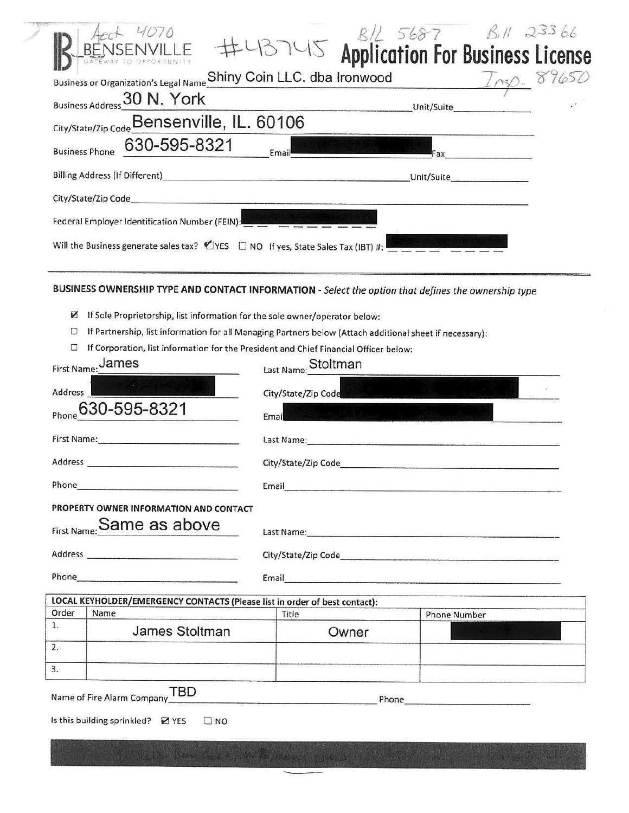|                                                                                                                                 | <b>BAL 5687 BAL 23366</b><br>13745 Application For Business License                                                                                                                                                           |       |                     |                      |  |
|---------------------------------------------------------------------------------------------------------------------------------|-------------------------------------------------------------------------------------------------------------------------------------------------------------------------------------------------------------------------------|-------|---------------------|----------------------|--|
| Business or Organization's Legal Name Shiny Coin LLC. dba Ironwood                                                              |                                                                                                                                                                                                                               |       |                     | $\frac{1}{\sqrt{2}}$ |  |
| Business Address 30 N. York                                                                                                     |                                                                                                                                                                                                                               |       | Unit/Suite          |                      |  |
| City/State/Zip Code Bensenville, IL. 60106                                                                                      |                                                                                                                                                                                                                               |       |                     |                      |  |
| 630-595-8321<br><b>Business Phone</b>                                                                                           | Email                                                                                                                                                                                                                         |       |                     |                      |  |
|                                                                                                                                 |                                                                                                                                                                                                                               |       |                     |                      |  |
| City/State/Zip Code                                                                                                             |                                                                                                                                                                                                                               |       |                     |                      |  |
| Federal Employer Identification Number (FEIN):                                                                                  |                                                                                                                                                                                                                               |       |                     |                      |  |
| Will the Business generate sales tax? $\mathcal{O}$ YES $\Box$ NO If yes, State Sales Tax (IBT) #:                              |                                                                                                                                                                                                                               |       |                     |                      |  |
|                                                                                                                                 |                                                                                                                                                                                                                               |       |                     |                      |  |
| BUSINESS OWNERSHIP TYPE AND CONTACT INFORMATION - Select the option that defines the ownership type                             |                                                                                                                                                                                                                               |       |                     |                      |  |
| Ø<br>If Sole Proprietorship, list information for the sole owner/operator below:                                                |                                                                                                                                                                                                                               |       |                     |                      |  |
| O<br>If Partnership, list information for all Managing Partners below (Attach additional sheet if necessary):                   |                                                                                                                                                                                                                               |       |                     |                      |  |
| If Corporation, list information for the President and Chief Financial Officer below:                                           |                                                                                                                                                                                                                               |       |                     |                      |  |
| First Name: James                                                                                                               | Last Name: Stoltman                                                                                                                                                                                                           |       |                     |                      |  |
| <b>ARTISTS IN THE REAL</b>                                                                                                      |                                                                                                                                                                                                                               |       |                     |                      |  |
| <b>Address</b>                                                                                                                  | City/State/Zip Code                                                                                                                                                                                                           |       |                     |                      |  |
| 630-595-8321<br>Phone                                                                                                           | Email                                                                                                                                                                                                                         |       |                     |                      |  |
| First Name: Manual Manual Manual Manual Manual Manual Manual Manual Manual Manual Manual Manual Manual Manual                   | Last Name: 1988 - 1988 - 1988 - 1988 - 1988 - 1988 - 1988 - 1988 - 1988 - 1988 - 1988 - 1988 - 1988 - 1988 - 1                                                                                                                |       |                     |                      |  |
| Address                                                                                                                         |                                                                                                                                                                                                                               |       |                     |                      |  |
| Phone_<br><u> La Caractería de la componentación de la componentación de la componentación de la componentación de la compo</u> | Email                                                                                                                                                                                                                         |       |                     |                      |  |
| PROPERTY OWNER INFORMATION AND CONTACT                                                                                          |                                                                                                                                                                                                                               |       |                     |                      |  |
| First Name: Same as above                                                                                                       | Last Name: and the contract of the contract of the contract of the contract of the contract of the contract of                                                                                                                |       |                     |                      |  |
|                                                                                                                                 |                                                                                                                                                                                                                               |       |                     |                      |  |
| Phone Phone                                                                                                                     | Email and the contract of the contract of the contract of the contract of the contract of the contract of the contract of the contract of the contract of the contract of the contract of the contract of the contract of the |       |                     |                      |  |
| LOCAL KEYHOLDER/EMERGENCY CONTACTS (Please list in order of best contact):                                                      |                                                                                                                                                                                                                               |       |                     |                      |  |
| Order<br>Name                                                                                                                   | Title                                                                                                                                                                                                                         |       | <b>Phone Number</b> |                      |  |
| 1.<br>James Stoltman                                                                                                            |                                                                                                                                                                                                                               | Owner |                     |                      |  |
| 2.<br>3.                                                                                                                        |                                                                                                                                                                                                                               |       |                     |                      |  |
|                                                                                                                                 |                                                                                                                                                                                                                               |       |                     |                      |  |
| Name of Fire Alarm Company TBD                                                                                                  |                                                                                                                                                                                                                               |       |                     |                      |  |
| Is this building sprinkled? 2 YES<br>$\Box$ NO                                                                                  |                                                                                                                                                                                                                               |       |                     |                      |  |
|                                                                                                                                 |                                                                                                                                                                                                                               |       |                     |                      |  |
|                                                                                                                                 |                                                                                                                                                                                                                               |       |                     |                      |  |